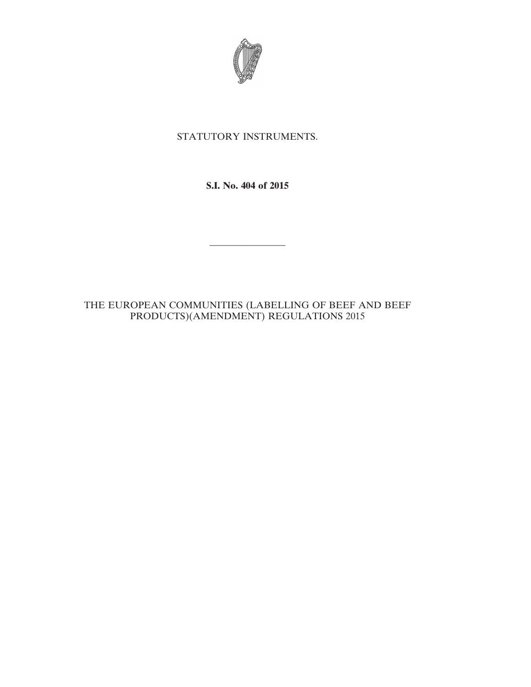

## STATUTORY INSTRUMENTS.

**S.I. No. 404 of 2015**

————————

## THE EUROPEAN COMMUNITIES (LABELLING OF BEEF AND BEEF PRODUCTS)(AMENDMENT) REGULATIONS 2015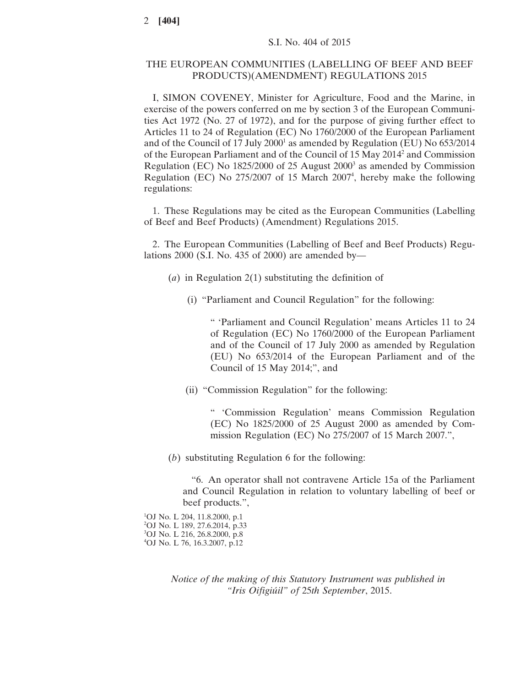## THE EUROPEAN COMMUNITIES (LABELLING OF BEEF AND BEEF PRODUCTS)(AMENDMENT) REGULATIONS 2015

I, SIMON COVENEY, Minister for Agriculture, Food and the Marine, in exercise of the powers conferred on me by section 3 of the European Communities Act 1972 (No. 27 of 1972), and for the purpose of giving further effect to Articles 11 to 24 of Regulation (EC) No 1760/2000 of the European Parliament and of the Council of 17 July 2000<sup>1</sup> as amended by Regulation (EU) No 653/2014 of the European Parliament and of the Council of 15 May 20142 and Commission Regulation (EC) No  $1825/2000$  of 25 August 2000<sup>3</sup> as amended by Commission Regulation (EC) No  $275/2007$  of 15 March  $2007<sup>4</sup>$ , hereby make the following regulations:

1. These Regulations may be cited as the European Communities (Labelling of Beef and Beef Products) (Amendment) Regulations 2015.

2. The European Communities (Labelling of Beef and Beef Products) Regulations 2000 (S.I. No. 435 of 2000) are amended by—

- (*a*) in Regulation 2(1) substituting the definition of
	- (i) "Parliament and Council Regulation" for the following:

" 'Parliament and Council Regulation' means Articles 11 to 24 of Regulation (EC) No 1760/2000 of the European Parliament and of the Council of 17 July 2000 as amended by Regulation (EU) No 653/2014 of the European Parliament and of the Council of 15 May 2014;", and

(ii) "Commission Regulation" for the following:

" 'Commission Regulation' means Commission Regulation (EC) No 1825/2000 of 25 August 2000 as amended by Commission Regulation (EC) No 275/2007 of 15 March 2007.",

(*b*) substituting Regulation 6 for the following:

"6. An operator shall not contravene Article 15a of the Parliament and Council Regulation in relation to voluntary labelling of beef or beef products.",

 OJ No. L 204, 11.8.2000, p.1 OJ No. L 189, 27.6.2014, p.33 OJ No. L 216, 26.8.2000, p.8 OJ No. L 76, 16.3.2007, p.12

> *Notice of the making of this Statutory Instrument was published in "Iris Oifigiúil" of* 25*th September*, 2015.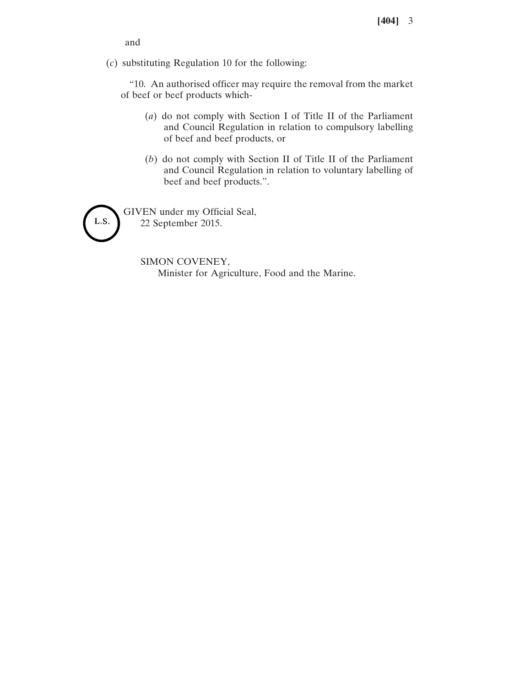and

(*c*) substituting Regulation 10 for the following:

"10. An authorised officer may require the removal from the market of beef or beef products which-

- (*a*) do not comply with Section I of Title II of the Parliament and Council Regulation in relation to compulsory labelling of beef and beef products, or
- (*b*) do not comply with Section II of Title II of the Parliament and Council Regulation in relation to voluntary labelling of beef and beef products.".

GIVEN under my Official Seal, L.S. 22 September 2015.

> SIMON COVENEY, Minister for Agriculture, Food and the Marine.